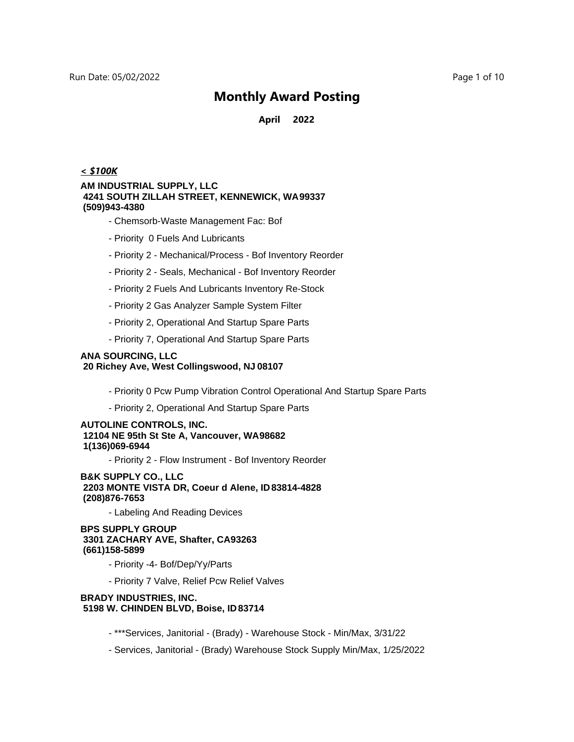**April 2022**

#### *< \$100K*

#### **AM INDUSTRIAL SUPPLY, LLC 4241 SOUTH ZILLAH STREET, KENNEWICK, WA 99337 (509)943-4380**

- Chemsorb-Waste Management Fac: Bof
- Priority 0 Fuels And Lubricants
- Priority 2 Mechanical/Process Bof Inventory Reorder
- Priority 2 Seals, Mechanical Bof Inventory Reorder
- Priority 2 Fuels And Lubricants Inventory Re-Stock
- Priority 2 Gas Analyzer Sample System Filter
- Priority 2, Operational And Startup Spare Parts
- Priority 7, Operational And Startup Spare Parts

#### **ANA SOURCING, LLC 20 Richey Ave, West Collingswood, NJ 08107**

- Priority 0 Pcw Pump Vibration Control Operational And Startup Spare Parts
- Priority 2, Operational And Startup Spare Parts

#### **AUTOLINE CONTROLS, INC. 12104 NE 95th St Ste A, Vancouver, WA 98682 1(136)069-6944**

- Priority 2 - Flow Instrument - Bof Inventory Reorder

**B&K SUPPLY CO., LLC 2203 MONTE VISTA DR, Coeur d Alene, ID 83814-4828 (208)876-7653**

- Labeling And Reading Devices

**BPS SUPPLY GROUP 3301 ZACHARY AVE, Shafter, CA93263 (661)158-5899**

- Priority -4- Bof/Dep/Yy/Parts
- Priority 7 Valve, Relief Pcw Relief Valves

#### **BRADY INDUSTRIES, INC. 5198 W. CHINDEN BLVD, Boise, ID 83714**

- \*\*\*Services, Janitorial (Brady) Warehouse Stock Min/Max, 3/31/22
- Services, Janitorial (Brady) Warehouse Stock Supply Min/Max, 1/25/2022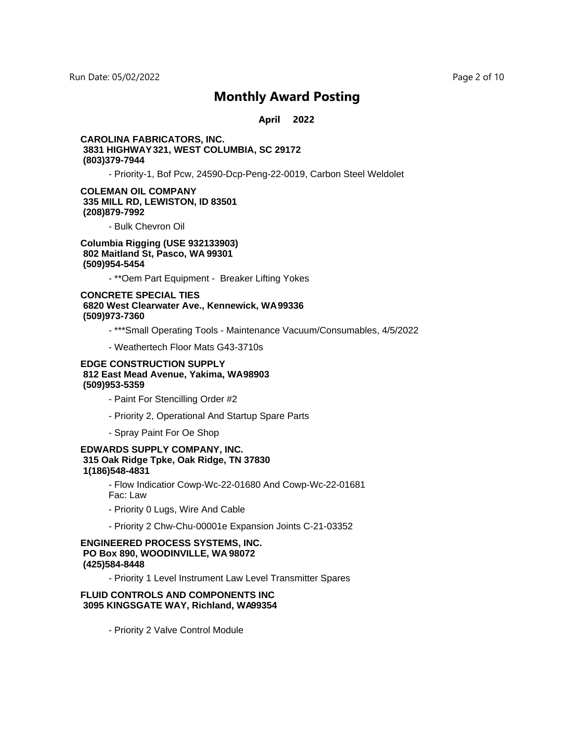**April 2022**

#### **CAROLINA FABRICATORS, INC. 3831 HIGHWAY 321, WEST COLUMBIA, SC 29172 (803)379-7944**

- Priority-1, Bof Pcw, 24590-Dcp-Peng-22-0019, Carbon Steel Weldolet

#### **COLEMAN OIL COMPANY 335 MILL RD, LEWISTON, ID 83501 (208)879-7992**

- Bulk Chevron Oil

**Columbia Rigging (USE 932133903) 802 Maitland St, Pasco, WA 99301 (509)954-5454**

- \*\*Oem Part Equipment - Breaker Lifting Yokes

**CONCRETE SPECIAL TIES 6820 West Clearwater Ave., Kennewick, WA 99336 (509)973-7360**

- \*\*\*Small Operating Tools Maintenance Vacuum/Consumables, 4/5/2022
- Weathertech Floor Mats G43-3710s

#### **EDGE CONSTRUCTION SUPPLY 812 East Mead Avenue, Yakima, WA 98903 (509)953-5359**

- Paint For Stencilling Order #2
- Priority 2, Operational And Startup Spare Parts
- Spray Paint For Oe Shop

#### **EDWARDS SUPPLY COMPANY, INC. 315 Oak Ridge Tpke, Oak Ridge, TN 37830 1(186)548-4831**

- Flow Indicatior Cowp-Wc-22-01680 And Cowp-Wc-22-01681 Fac: Law

- Priority 0 Lugs, Wire And Cable
- Priority 2 Chw-Chu-00001e Expansion Joints C-21-03352

#### **ENGINEERED PROCESS SYSTEMS, INC. PO Box 890, WOODINVILLE, WA 98072 (425)584-8448**

- Priority 1 Level Instrument Law Level Transmitter Spares

#### **FLUID CONTROLS AND COMPONENTS INC 3095 KINGSGATE WAY, Richland, WA99354**

- Priority 2 Valve Control Module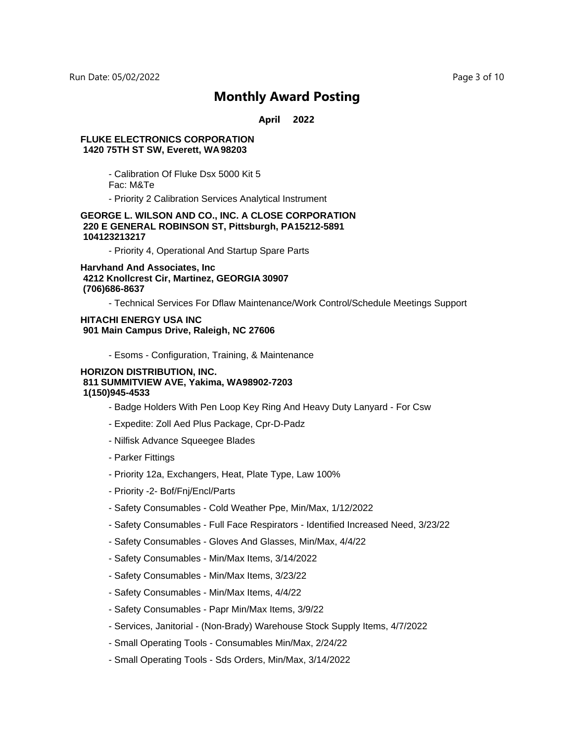**April 2022**

#### **FLUKE ELECTRONICS CORPORATION 1420 75TH ST SW, Everett, WA 98203**

- Calibration Of Fluke Dsx 5000 Kit 5

Fac: M&Te

- Priority 2 Calibration Services Analytical Instrument

#### **GEORGE L. WILSON AND CO., INC. A CLOSE CORPORATION 220 E GENERAL ROBINSON ST, Pittsburgh, PA 15212-5891 104123213217**

- Priority 4, Operational And Startup Spare Parts

**Harvhand And Associates, Inc 4212 Knollcrest Cir, Martinez, GEORGIA 30907 (706)686-8637**

- Technical Services For Dflaw Maintenance/Work Control/Schedule Meetings Support

#### **HITACHI ENERGY USA INC 901 Main Campus Drive, Raleigh, NC 27606**

- Esoms - Configuration, Training, & Maintenance

#### **HORIZON DISTRIBUTION, INC.** 811 SUMMITVIEW AVE, Yakima, WA98902-7203 **1(150)945-4533**

- Badge Holders With Pen Loop Key Ring And Heavy Duty Lanyard For Csw
- Expedite: Zoll Aed Plus Package, Cpr-D-Padz
- Nilfisk Advance Squeegee Blades
- Parker Fittings
- Priority 12a, Exchangers, Heat, Plate Type, Law 100%
- Priority -2- Bof/Fnj/Encl/Parts
- Safety Consumables Cold Weather Ppe, Min/Max, 1/12/2022
- Safety Consumables Full Face Respirators Identified Increased Need, 3/23/22
- Safety Consumables Gloves And Glasses, Min/Max, 4/4/22
- Safety Consumables Min/Max Items, 3/14/2022
- Safety Consumables Min/Max Items, 3/23/22
- Safety Consumables Min/Max Items, 4/4/22
- Safety Consumables Papr Min/Max Items, 3/9/22
- Services, Janitorial (Non-Brady) Warehouse Stock Supply Items, 4/7/2022
- Small Operating Tools Consumables Min/Max, 2/24/22
- Small Operating Tools Sds Orders, Min/Max, 3/14/2022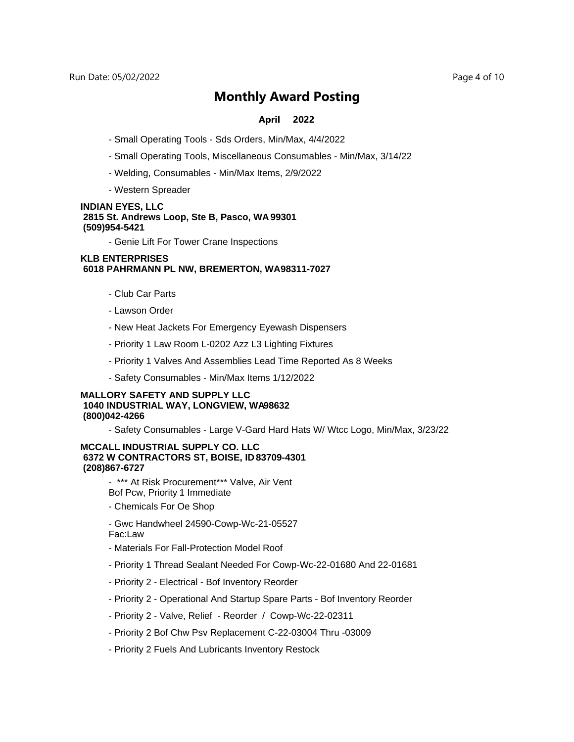#### **April 2022**

- Small Operating Tools Sds Orders, Min/Max, 4/4/2022
- Small Operating Tools, Miscellaneous Consumables Min/Max, 3/14/22
- Welding, Consumables Min/Max Items, 2/9/2022
- Western Spreader

#### **INDIAN EYES, LLC 2815 St. Andrews Loop, Ste B, Pasco, WA 99301 (509)954-5421**

- Genie Lift For Tower Crane Inspections

#### **KLB ENTERPRISES 6018 PAHRMANN PL NW, BREMERTON, WA 98311-7027**

- Club Car Parts
- Lawson Order
- New Heat Jackets For Emergency Eyewash Dispensers
- Priority 1 Law Room L-0202 Azz L3 Lighting Fixtures
- Priority 1 Valves And Assemblies Lead Time Reported As 8 Weeks
- Safety Consumables Min/Max Items 1/12/2022

#### **MALLORY SAFETY AND SUPPLY LLC 1040 INDUSTRIAL WAY, LONGVIEW, WA98632 (800)042-4266**

- Safety Consumables - Large V-Gard Hard Hats W/ Wtcc Logo, Min/Max, 3/23/22

#### **MCCALL INDUSTRIAL SUPPLY CO. LLC 6372 W CONTRACTORS ST, BOISE, ID 83709-4301 (208)867-6727**

- \*\*\* At Risk Procurement\*\*\* Valve, Air Vent Bof Pcw, Priority 1 Immediate

- Chemicals For Oe Shop
- Gwc Handwheel 24590-Cowp-Wc-21-05527

Fac:Law

- Materials For Fall-Protection Model Roof
- Priority 1 Thread Sealant Needed For Cowp-Wc-22-01680 And 22-01681
- Priority 2 Electrical Bof Inventory Reorder
- Priority 2 Operational And Startup Spare Parts Bof Inventory Reorder
- Priority 2 Valve, Relief Reorder / Cowp-Wc-22-02311
- Priority 2 Bof Chw Psv Replacement C-22-03004 Thru -03009
- Priority 2 Fuels And Lubricants Inventory Restock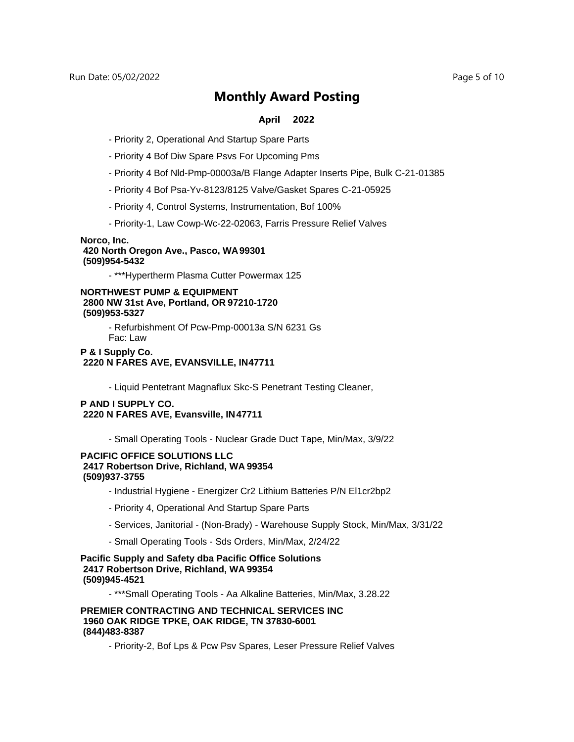#### **April 2022**

- Priority 2, Operational And Startup Spare Parts
- Priority 4 Bof Diw Spare Psvs For Upcoming Pms
- Priority 4 Bof Nld-Pmp-00003a/B Flange Adapter Inserts Pipe, Bulk C-21-01385
- Priority 4 Bof Psa-Yv-8123/8125 Valve/Gasket Spares C-21-05925
- Priority 4, Control Systems, Instrumentation, Bof 100%
- Priority-1, Law Cowp-Wc-22-02063, Farris Pressure Relief Valves

#### **Norco, Inc. 420 North Oregon Ave., Pasco, WA 99301 (509)954-5432**

- \*\*\*Hypertherm Plasma Cutter Powermax 125

#### **NORTHWEST PUMP & EQUIPMENT 2800 NW 31st Ave, Portland, OR 97210-1720 (509)953-5327**

- Refurbishment Of Pcw-Pmp-00013a S/N 6231 Gs Fac: Law

#### **P & I Supply Co. 2220 N FARES AVE, EVANSVILLE, IN 47711**

- Liquid Pentetrant Magnaflux Skc-S Penetrant Testing Cleaner,

#### **P AND I SUPPLY CO. 2220 N FARES AVE, Evansville, IN 47711**

- Small Operating Tools - Nuclear Grade Duct Tape, Min/Max, 3/9/22

#### **PACIFIC OFFICE SOLUTIONS LLC 2417 Robertson Drive, Richland, WA 99354 (509)937-3755**

- Industrial Hygiene Energizer Cr2 Lithium Batteries P/N El1cr2bp2
- Priority 4, Operational And Startup Spare Parts
- Services, Janitorial (Non-Brady) Warehouse Supply Stock, Min/Max, 3/31/22
- Small Operating Tools Sds Orders, Min/Max, 2/24/22

#### **Pacific Supply and Safety dba Pacific Office Solutions 2417 Robertson Drive, Richland, WA 99354 (509)945-4521**

- \*\*\*Small Operating Tools - Aa Alkaline Batteries, Min/Max, 3.28.22

#### **PREMIER CONTRACTING AND TECHNICAL SERVICES INC 1960 OAK RIDGE TPKE, OAK RIDGE, TN 37830-6001 (844)483-8387**

- Priority-2, Bof Lps & Pcw Psv Spares, Leser Pressure Relief Valves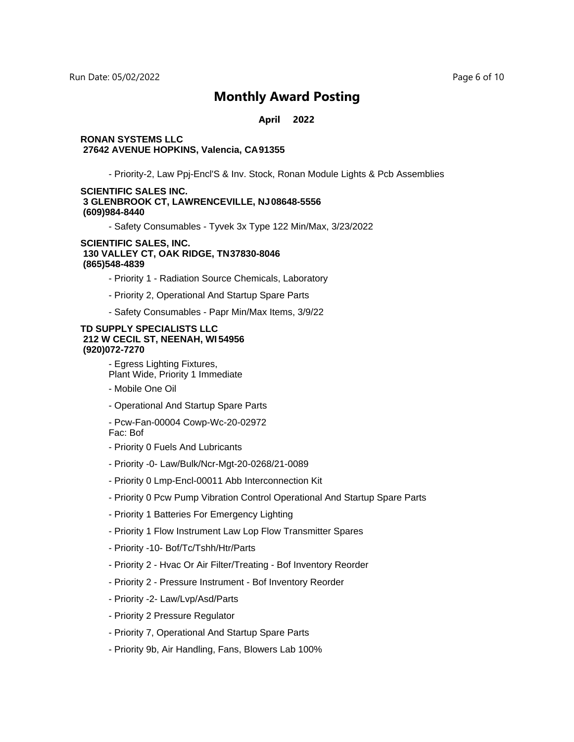#### **April 2022**

#### **RONAN SYSTEMS LLC 27642 AVENUE HOPKINS, Valencia, CA 91355**

- Priority-2, Law Ppj-Encl'S & Inv. Stock, Ronan Module Lights & Pcb Assemblies

#### **SCIENTIFIC SALES INC. 3 GLENBROOK CT, LAWRENCEVILLE, NJ 08648-5556 (609)984-8440**

- Safety Consumables - Tyvek 3x Type 122 Min/Max, 3/23/2022

#### **SCIENTIFIC SALES, INC. 130 VALLEY CT, OAK RIDGE, TN 37830-8046 (865)548-4839**

- Priority 1 Radiation Source Chemicals, Laboratory
- Priority 2, Operational And Startup Spare Parts
- Safety Consumables Papr Min/Max Items, 3/9/22

#### **TD SUPPLY SPECIALISTS LLC 212 W CECIL ST, NEENAH, WI 54956 (920)072-7270**

- Egress Lighting Fixtures, Plant Wide, Priority 1 Immediate

- Mobile One Oil
- Operational And Startup Spare Parts
- Pcw-Fan-00004 Cowp-Wc-20-02972 Fac: Bof
- Priority 0 Fuels And Lubricants
- Priority -0- Law/Bulk/Ncr-Mgt-20-0268/21-0089
- Priority 0 Lmp-Encl-00011 Abb Interconnection Kit
- Priority 0 Pcw Pump Vibration Control Operational And Startup Spare Parts
- Priority 1 Batteries For Emergency Lighting
- Priority 1 Flow Instrument Law Lop Flow Transmitter Spares
- Priority -10- Bof/Tc/Tshh/Htr/Parts
- Priority 2 Hvac Or Air Filter/Treating Bof Inventory Reorder
- Priority 2 Pressure Instrument Bof Inventory Reorder
- Priority -2- Law/Lvp/Asd/Parts
- Priority 2 Pressure Regulator
- Priority 7, Operational And Startup Spare Parts
- Priority 9b, Air Handling, Fans, Blowers Lab 100%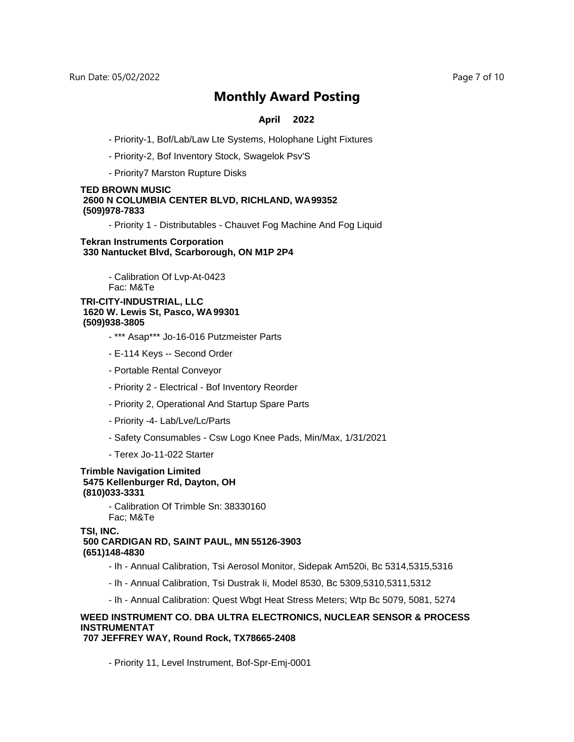#### **April 2022**

- Priority-1, Bof/Lab/Law Lte Systems, Holophane Light Fixtures
- Priority-2, Bof Inventory Stock, Swagelok Psv'S
- Priority7 Marston Rupture Disks

#### **TED BROWN MUSIC 2600 N COLUMBIA CENTER BLVD, RICHLAND, WA 99352 (509)978-7833**

- Priority 1 - Distributables - Chauvet Fog Machine And Fog Liquid

#### **Tekran Instruments Corporation 330 Nantucket Blvd, Scarborough, ON M1P 2P4**

- Calibration Of Lvp-At-0423 Fac: M&Te

#### **TRI-CITY-INDUSTRIAL, LLC 1620 W. Lewis St, Pasco, WA 99301 (509)938-3805**

- \*\*\* Asap\*\*\* Jo-16-016 Putzmeister Parts
- E-114 Keys -- Second Order
- Portable Rental Conveyor
- Priority 2 Electrical Bof Inventory Reorder
- Priority 2, Operational And Startup Spare Parts
- Priority -4- Lab/Lve/Lc/Parts
- Safety Consumables Csw Logo Knee Pads, Min/Max, 1/31/2021
- Terex Jo-11-022 Starter

#### **Trimble Navigation Limited 5475 Kellenburger Rd, Dayton, OH (810)033-3331**

- Calibration Of Trimble Sn: 38330160 Fac; M&Te

#### **TSI, INC. 500 CARDIGAN RD, SAINT PAUL, MN 55126-3903 (651)148-4830**

- Ih Annual Calibration, Tsi Aerosol Monitor, Sidepak Am520i, Bc 5314,5315,5316
- Ih Annual Calibration, Tsi Dustrak Ii, Model 8530, Bc 5309,5310,5311,5312
- Ih Annual Calibration: Quest Wbgt Heat Stress Meters; Wtp Bc 5079, 5081, 5274

### **WEED INSTRUMENT CO. DBA ULTRA ELECTRONICS, NUCLEAR SENSOR & PROCESS INSTRUMENTAT**

**707 JEFFREY WAY, Round Rock, TX 78665-2408**

- Priority 11, Level Instrument, Bof-Spr-Emj-0001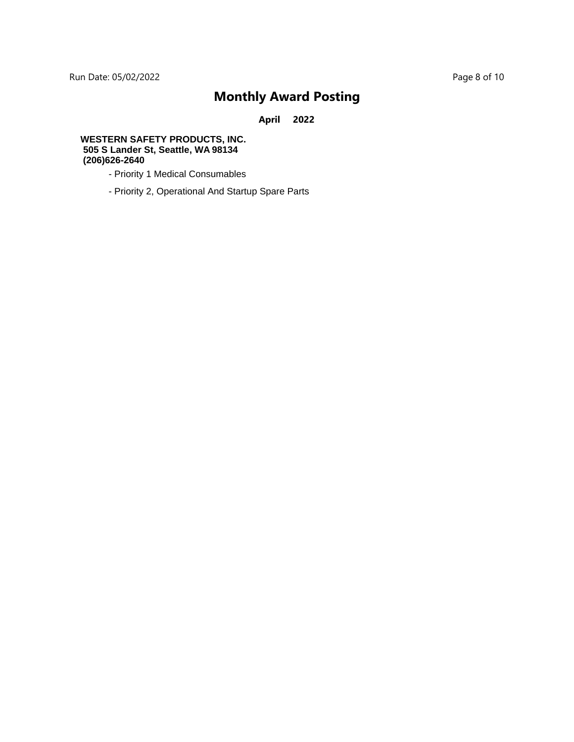**April 2022**

#### **WESTERN SAFETY PRODUCTS, INC. 505 S Lander St, Seattle, WA 98134 (206)626-2640**

- Priority 1 Medical Consumables
- Priority 2, Operational And Startup Spare Parts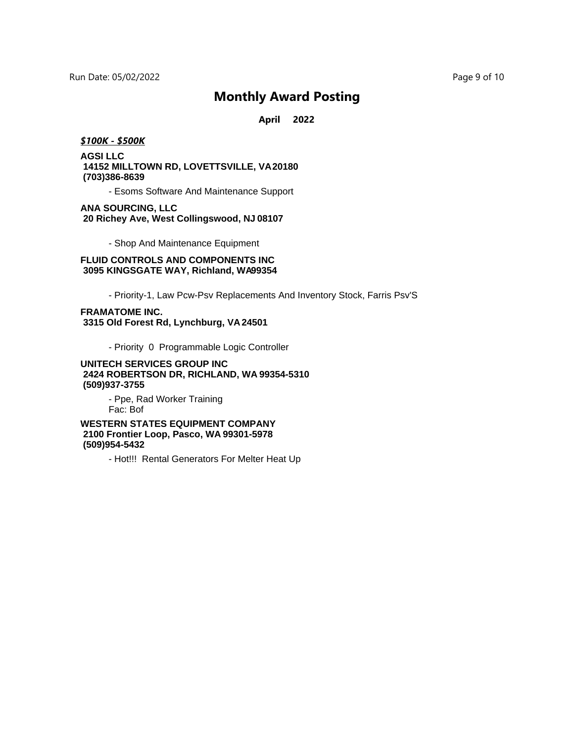**April 2022**

#### *\$100K - \$500K*

### **AGSI LLC 14152 MILLTOWN RD, LOVETTSVILLE, VA 20180 (703)386-8639**

- Esoms Software And Maintenance Support

#### **ANA SOURCING, LLC 20 Richey Ave, West Collingswood, NJ 08107**

- Shop And Maintenance Equipment

#### **FLUID CONTROLS AND COMPONENTS INC** 3095 KINGSGATE WAY, Richland, WA99354

- Priority-1, Law Pcw-Psv Replacements And Inventory Stock, Farris Psv'S

#### **FRAMATOME INC. 3315 Old Forest Rd, Lynchburg, VA 24501**

- Priority 0 Programmable Logic Controller

#### **UNITECH SERVICES GROUP INC 2424 ROBERTSON DR, RICHLAND, WA 99354-5310 (509)937-3755**

- Ppe, Rad Worker Training Fac: Bof

**WESTERN STATES EQUIPMENT COMPANY 2100 Frontier Loop, Pasco, WA 99301-5978 (509)954-5432**

- Hot!!! Rental Generators For Melter Heat Up